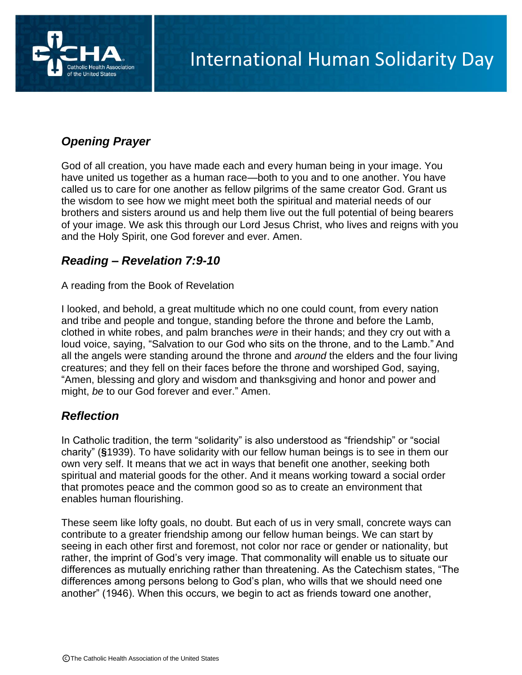

# *Opening Prayer*

God of all creation, you have made each and every human being in your image. You have united us together as a human race—both to you and to one another. You have called us to care for one another as fellow pilgrims of the same creator God. Grant us the wisdom to see how we might meet both the spiritual and material needs of our brothers and sisters around us and help them live out the full potential of being bearers of your image. We ask this through our Lord Jesus Christ, who lives and reigns with you and the Holy Spirit, one God forever and ever. Amen.

## *Reading – Revelation 7:9-10*

A reading from the Book of Revelation

I looked, and behold, a great multitude which no one could count, from every nation and tribe and people and tongue, standing before the throne and before the Lamb, clothed in white robes, and palm branches *were* in their hands; and they cry out with a loud voice, saying, "Salvation to our God who sits on the throne, and to the Lamb." And all the angels were standing around the throne and *around* the elders and the four living creatures; and they fell on their faces before the throne and worshiped God, saying, "Amen, blessing and glory and wisdom and thanksgiving and honor and power and might, *be* to our God forever and ever." Amen.

## *Reflection*

In Catholic tradition, the term "solidarity" is also understood as "friendship" or "social charity" (**§**1939). To have solidarity with our fellow human beings is to see in them our own very self. It means that we act in ways that benefit one another, seeking both spiritual and material goods for the other. And it means working toward a social order that promotes peace and the common good so as to create an environment that enables human flourishing.

These seem like lofty goals, no doubt. But each of us in very small, concrete ways can contribute to a greater friendship among our fellow human beings. We can start by seeing in each other first and foremost, not color nor race or gender or nationality, but rather, the imprint of God's very image. That commonality will enable us to situate our differences as mutually enriching rather than threatening. As the Catechism states, "The differences among persons belong to God's plan, who wills that we should need one another" (1946). When this occurs, we begin to act as friends toward one another,